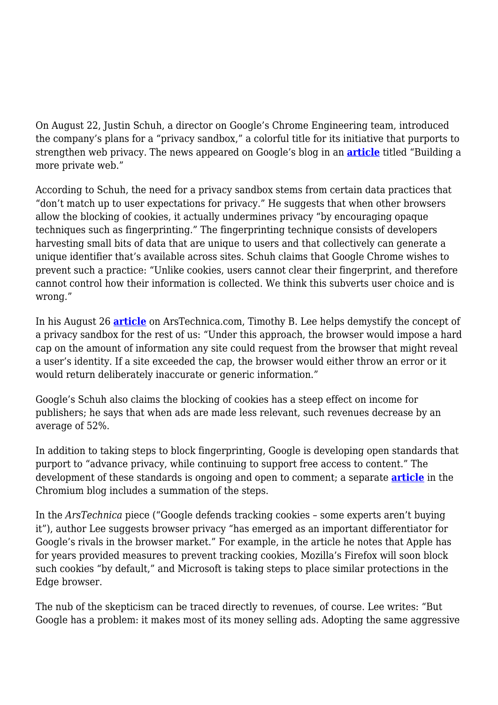On August 22, Justin Schuh, a director on Google's Chrome Engineering team, introduced the company's plans for a "privacy sandbox," a colorful title for its initiative that purports to strengthen web privacy. The news appeared on Google's blog in an **[article](https://www.blog.google/products/chrome/building-a-more-private-web/)** titled "Building a more private web."

According to Schuh, the need for a privacy sandbox stems from certain data practices that "don't match up to user expectations for privacy." He suggests that when other browsers allow the blocking of cookies, it actually undermines privacy "by encouraging opaque techniques such as fingerprinting." The fingerprinting technique consists of developers harvesting small bits of data that are unique to users and that collectively can generate a unique identifier that's available across sites. Schuh claims that Google Chrome wishes to prevent such a practice: "Unlike cookies, users cannot clear their fingerprint, and therefore cannot control how their information is collected. We think this subverts user choice and is wrong."

In his August 26 **[article](https://arstechnica.com/tech-policy/2019/08/why-some-experts-are-skeptical-of-googles-new-web-privacy-strategy/)** on ArsTechnica.com, Timothy B. Lee helps demystify the concept of a privacy sandbox for the rest of us: "Under this approach, the browser would impose a hard cap on the amount of information any site could request from the browser that might reveal a user's identity. If a site exceeded the cap, the browser would either throw an error or it would return deliberately inaccurate or generic information."

Google's Schuh also claims the blocking of cookies has a steep effect on income for publishers; he says that when ads are made less relevant, such revenues decrease by an average of 52%.

In addition to taking steps to block fingerprinting, Google is developing open standards that purport to "advance privacy, while continuing to support free access to content." The development of these standards is ongoing and open to comment; a separate **[article](https://blog.chromium.org/2019/08/potential-uses-for-privacy-sandbox.html)** in the Chromium blog includes a summation of the steps.

In the *ArsTechnica* piece ("Google defends tracking cookies – some experts aren't buying it"), author Lee suggests browser privacy "has emerged as an important differentiator for Google's rivals in the browser market." For example, in the article he notes that Apple has for years provided measures to prevent tracking cookies, Mozilla's Firefox will soon block such cookies "by default," and Microsoft is taking steps to place similar protections in the Edge browser.

The nub of the skepticism can be traced directly to revenues, of course. Lee writes: "But Google has a problem: it makes most of its money selling ads. Adopting the same aggressive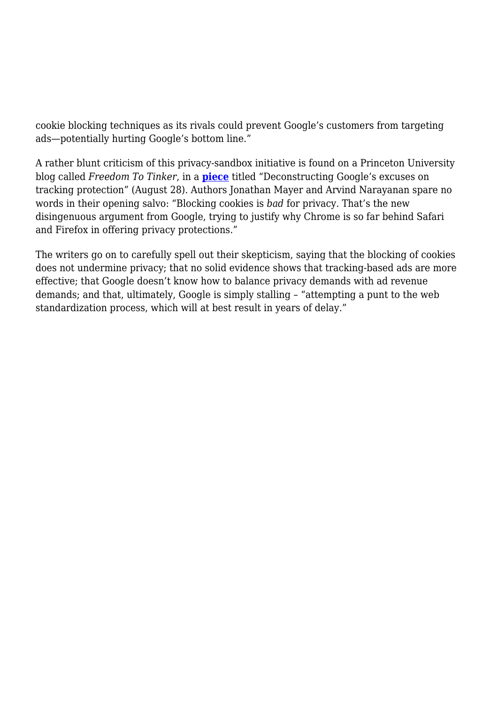cookie blocking techniques as its rivals could prevent Google's customers from targeting ads—potentially hurting Google's bottom line."

A rather blunt criticism of this privacy-sandbox initiative is found on a Princeton University blog called *Freedom To Tinker*, in a **[piece](https://freedom-to-tinker.com/2019/08/23/deconstructing-googles-excuses-on-tracking-protection/)** titled "Deconstructing Google's excuses on tracking protection" (August 28). Authors Jonathan Mayer and Arvind Narayanan spare no words in their opening salvo: "Blocking cookies is *bad* for privacy. That's the new disingenuous argument from Google, trying to justify why Chrome is so far behind Safari and Firefox in offering privacy protections."

The writers go on to carefully spell out their skepticism, saying that the blocking of cookies does not undermine privacy; that no solid evidence shows that tracking-based ads are more effective; that Google doesn't know how to balance privacy demands with ad revenue demands; and that, ultimately, Google is simply stalling – "attempting a punt to the web standardization process, which will at best result in years of delay."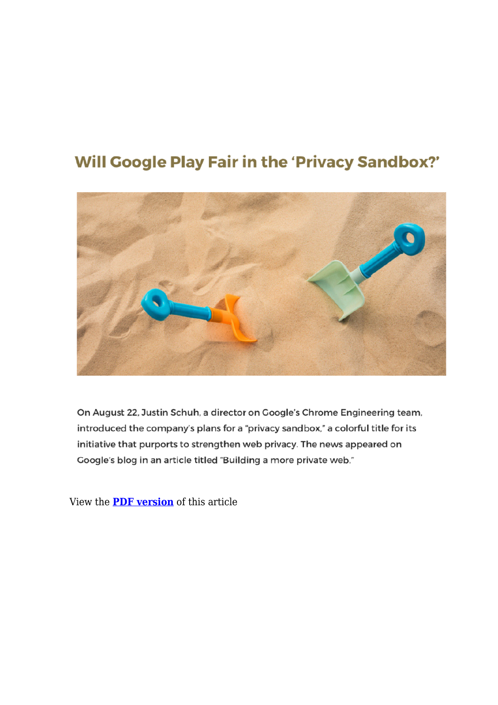## **Will Google Play Fair in the 'Privacy Sandbox?'**



On August 22, Justin Schuh, a director on Google's Chrome Engineering team, introduced the company's plans for a "privacy sandbox," a colorful title for its initiative that purports to strengthen web privacy. The news appeared on Google's blog in an article titled "Building a more private web."

View the **[PDF version](https://magazine.arma.org/wp-content/uploads/2019/09/Google-Sandbox-1.pdf)** of this article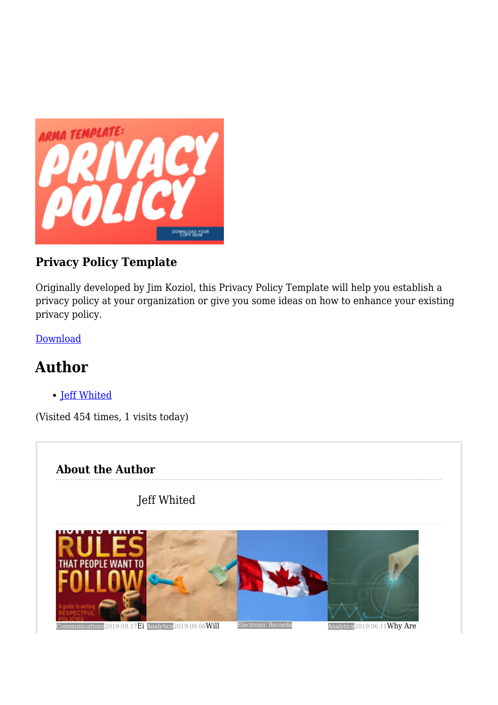

## **Privacy Policy Template**

Originally developed by Jim Koziol, this Privacy Policy Template will help you establish a privacy policy at your organization or give you some ideas on how to enhance your existing privacy policy.

[Download](https://armai.informz.net/ARMAI/pages/Privacy_Policy_Template2)

## **Author**

• [Jeff Whited](https://magazine.arma.org/author/jeffwhited/)

(Visited 454 times, 1 visits today)